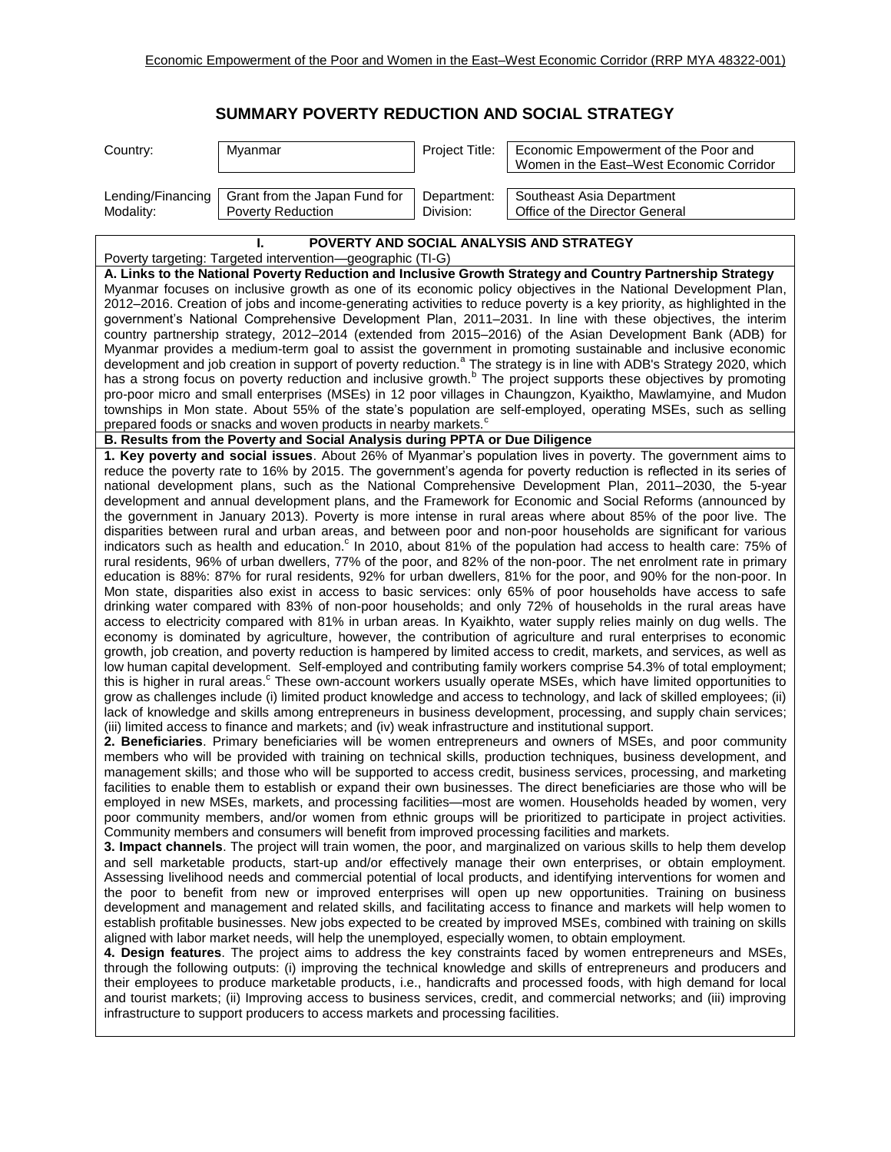## **SUMMARY POVERTY REDUCTION AND SOCIAL STRATEGY**

| Country:                                                                                                                                                                                                                                                                                                                                                                                                                                                                                                                                                                                                                                                                                                                                                                                                                                                                                                                                                                                                                                                                                                                                                                                                                                                                                                                                                                                                                                                                                                                                                                                                                                                                                                                                                                                                                                                                                                                                                                                                                                                                                                                                                                                                                                                                                                                                                                                                                                                                                                                                                                                                                                                                                                                                                                                                                                                                                                                                                                                                                                                                                                                                                                                                                                                                                                                                                                                                                                                                                                                                                                                                                                                                                                                                                                                                                                                                                                                                                                                                                                                                                                                                                                                                                                                                                                                                                                                                                                                                                                                                                                                                                                                                                                                                                                                                                                                                                                                                                                                                                                                                                                                                                                                                                                                                                                                                                                                                                                                                                                                                                                                                 | Myanmar                                                   | Project Title:           | Economic Empowerment of the Poor and<br>Women in the East-West Economic Corridor |  |  |
|----------------------------------------------------------------------------------------------------------------------------------------------------------------------------------------------------------------------------------------------------------------------------------------------------------------------------------------------------------------------------------------------------------------------------------------------------------------------------------------------------------------------------------------------------------------------------------------------------------------------------------------------------------------------------------------------------------------------------------------------------------------------------------------------------------------------------------------------------------------------------------------------------------------------------------------------------------------------------------------------------------------------------------------------------------------------------------------------------------------------------------------------------------------------------------------------------------------------------------------------------------------------------------------------------------------------------------------------------------------------------------------------------------------------------------------------------------------------------------------------------------------------------------------------------------------------------------------------------------------------------------------------------------------------------------------------------------------------------------------------------------------------------------------------------------------------------------------------------------------------------------------------------------------------------------------------------------------------------------------------------------------------------------------------------------------------------------------------------------------------------------------------------------------------------------------------------------------------------------------------------------------------------------------------------------------------------------------------------------------------------------------------------------------------------------------------------------------------------------------------------------------------------------------------------------------------------------------------------------------------------------------------------------------------------------------------------------------------------------------------------------------------------------------------------------------------------------------------------------------------------------------------------------------------------------------------------------------------------------------------------------------------------------------------------------------------------------------------------------------------------------------------------------------------------------------------------------------------------------------------------------------------------------------------------------------------------------------------------------------------------------------------------------------------------------------------------------------------------------------------------------------------------------------------------------------------------------------------------------------------------------------------------------------------------------------------------------------------------------------------------------------------------------------------------------------------------------------------------------------------------------------------------------------------------------------------------------------------------------------------------------------------------------------------------------------------------------------------------------------------------------------------------------------------------------------------------------------------------------------------------------------------------------------------------------------------------------------------------------------------------------------------------------------------------------------------------------------------------------------------------------------------------------------------------------------------------------------------------------------------------------------------------------------------------------------------------------------------------------------------------------------------------------------------------------------------------------------------------------------------------------------------------------------------------------------------------------------------------------------------------------------------------------------------------------------------------------------------------------------------------------------------------------------------------------------------------------------------------------------------------------------------------------------------------------------------------------------------------------------------------------------------------------------------------------------------------------------------------------------------------------------------------------------------------------------------------------------------------------|-----------------------------------------------------------|--------------------------|----------------------------------------------------------------------------------|--|--|
| Lending/Financing<br>Modality:                                                                                                                                                                                                                                                                                                                                                                                                                                                                                                                                                                                                                                                                                                                                                                                                                                                                                                                                                                                                                                                                                                                                                                                                                                                                                                                                                                                                                                                                                                                                                                                                                                                                                                                                                                                                                                                                                                                                                                                                                                                                                                                                                                                                                                                                                                                                                                                                                                                                                                                                                                                                                                                                                                                                                                                                                                                                                                                                                                                                                                                                                                                                                                                                                                                                                                                                                                                                                                                                                                                                                                                                                                                                                                                                                                                                                                                                                                                                                                                                                                                                                                                                                                                                                                                                                                                                                                                                                                                                                                                                                                                                                                                                                                                                                                                                                                                                                                                                                                                                                                                                                                                                                                                                                                                                                                                                                                                                                                                                                                                                                                           | Grant from the Japan Fund for<br><b>Poverty Reduction</b> | Department:<br>Division: | Southeast Asia Department<br>Office of the Director General                      |  |  |
|                                                                                                                                                                                                                                                                                                                                                                                                                                                                                                                                                                                                                                                                                                                                                                                                                                                                                                                                                                                                                                                                                                                                                                                                                                                                                                                                                                                                                                                                                                                                                                                                                                                                                                                                                                                                                                                                                                                                                                                                                                                                                                                                                                                                                                                                                                                                                                                                                                                                                                                                                                                                                                                                                                                                                                                                                                                                                                                                                                                                                                                                                                                                                                                                                                                                                                                                                                                                                                                                                                                                                                                                                                                                                                                                                                                                                                                                                                                                                                                                                                                                                                                                                                                                                                                                                                                                                                                                                                                                                                                                                                                                                                                                                                                                                                                                                                                                                                                                                                                                                                                                                                                                                                                                                                                                                                                                                                                                                                                                                                                                                                                                          |                                                           |                          |                                                                                  |  |  |
| Poverty targeting: Targeted intervention—geographic (TI-G)                                                                                                                                                                                                                                                                                                                                                                                                                                                                                                                                                                                                                                                                                                                                                                                                                                                                                                                                                                                                                                                                                                                                                                                                                                                                                                                                                                                                                                                                                                                                                                                                                                                                                                                                                                                                                                                                                                                                                                                                                                                                                                                                                                                                                                                                                                                                                                                                                                                                                                                                                                                                                                                                                                                                                                                                                                                                                                                                                                                                                                                                                                                                                                                                                                                                                                                                                                                                                                                                                                                                                                                                                                                                                                                                                                                                                                                                                                                                                                                                                                                                                                                                                                                                                                                                                                                                                                                                                                                                                                                                                                                                                                                                                                                                                                                                                                                                                                                                                                                                                                                                                                                                                                                                                                                                                                                                                                                                                                                                                                                                               |                                                           |                          |                                                                                  |  |  |
| POVERTY AND SOCIAL ANALYSIS AND STRATEGY<br>A. Links to the National Poverty Reduction and Inclusive Growth Strategy and Country Partnership Strategy<br>Myanmar focuses on inclusive growth as one of its economic policy objectives in the National Development Plan,<br>2012–2016. Creation of jobs and income-generating activities to reduce poverty is a key priority, as highlighted in the<br>government's National Comprehensive Development Plan, 2011–2031. In line with these objectives, the interim<br>country partnership strategy, 2012-2014 (extended from 2015-2016) of the Asian Development Bank (ADB) for<br>Myanmar provides a medium-term goal to assist the government in promoting sustainable and inclusive economic<br>development and job creation in support of poverty reduction. <sup>a</sup> The strategy is in line with ADB's Strategy 2020, which<br>has a strong focus on poverty reduction and inclusive growth. <sup>b</sup> The project supports these objectives by promoting<br>pro-poor micro and small enterprises (MSEs) in 12 poor villages in Chaungzon, Kyaiktho, Mawlamyine, and Mudon<br>townships in Mon state. About 55% of the state's population are self-employed, operating MSEs, such as selling<br>prepared foods or snacks and woven products in nearby markets. <sup>c</sup><br>B. Results from the Poverty and Social Analysis during PPTA or Due Diligence<br>1. Key poverty and social issues. About 26% of Myanmar's population lives in poverty. The government aims to<br>reduce the poverty rate to 16% by 2015. The government's agenda for poverty reduction is reflected in its series of<br>national development plans, such as the National Comprehensive Development Plan, 2011–2030, the 5-year<br>development and annual development plans, and the Framework for Economic and Social Reforms (announced by<br>the government in January 2013). Poverty is more intense in rural areas where about 85% of the poor live. The<br>disparities between rural and urban areas, and between poor and non-poor households are significant for various<br>indicators such as health and education. <sup>c</sup> In 2010, about 81% of the population had access to health care: 75% of<br>rural residents, 96% of urban dwellers, 77% of the poor, and 82% of the non-poor. The net enrolment rate in primary<br>education is 88%: 87% for rural residents, 92% for urban dwellers, 81% for the poor, and 90% for the non-poor. In<br>Mon state, disparities also exist in access to basic services: only 65% of poor households have access to safe<br>drinking water compared with 83% of non-poor households; and only 72% of households in the rural areas have<br>access to electricity compared with 81% in urban areas. In Kyaikhto, water supply relies mainly on dug wells. The<br>economy is dominated by agriculture, however, the contribution of agriculture and rural enterprises to economic<br>growth, job creation, and poverty reduction is hampered by limited access to credit, markets, and services, as well as<br>low human capital development. Self-employed and contributing family workers comprise 54.3% of total employment;<br>this is higher in rural areas. <sup>c</sup> These own-account workers usually operate MSEs, which have limited opportunities to<br>grow as challenges include (i) limited product knowledge and access to technology, and lack of skilled employees; (ii)<br>lack of knowledge and skills among entrepreneurs in business development, processing, and supply chain services;<br>(iii) limited access to finance and markets; and (iv) weak infrastructure and institutional support.<br>2. Beneficiaries. Primary beneficiaries will be women entrepreneurs and owners of MSEs, and poor community<br>members who will be provided with training on technical skills, production techniques, business development, and<br>management skills; and those who will be supported to access credit, business services, processing, and marketing<br>facilities to enable them to establish or expand their own businesses. The direct beneficiaries are those who will be<br>employed in new MSEs, markets, and processing facilities—most are women. Households headed by women, very<br>poor community members, and/or women from ethnic groups will be prioritized to participate in project activities.<br>Community members and consumers will benefit from improved processing facilities and markets.<br>3. Impact channels. The project will train women, the poor, and marginalized on various skills to help them develop<br>and sell marketable products, start-up and/or effectively manage their own enterprises, or obtain employment.<br>Assessing livelihood needs and commercial potential of local products, and identifying interventions for women and<br>the poor to benefit from new or improved enterprises will open up new opportunities. Training on business<br>development and management and related skills, and facilitating access to finance and markets will help women to<br>establish profitable businesses. New jobs expected to be created by improved MSEs, combined with training on skills<br>aligned with labor market needs, will help the unemployed, especially women, to obtain employment.<br>4. Design features. The project aims to address the key constraints faced by women entrepreneurs and MSEs,<br>through the following outputs: (i) improving the technical knowledge and skills of entrepreneurs and producers and |                                                           |                          |                                                                                  |  |  |
|                                                                                                                                                                                                                                                                                                                                                                                                                                                                                                                                                                                                                                                                                                                                                                                                                                                                                                                                                                                                                                                                                                                                                                                                                                                                                                                                                                                                                                                                                                                                                                                                                                                                                                                                                                                                                                                                                                                                                                                                                                                                                                                                                                                                                                                                                                                                                                                                                                                                                                                                                                                                                                                                                                                                                                                                                                                                                                                                                                                                                                                                                                                                                                                                                                                                                                                                                                                                                                                                                                                                                                                                                                                                                                                                                                                                                                                                                                                                                                                                                                                                                                                                                                                                                                                                                                                                                                                                                                                                                                                                                                                                                                                                                                                                                                                                                                                                                                                                                                                                                                                                                                                                                                                                                                                                                                                                                                                                                                                                                                                                                                                                          |                                                           |                          |                                                                                  |  |  |
| their employees to produce marketable products, i.e., handicrafts and processed foods, with high demand for local<br>and tourist markets; (ii) Improving access to business services, credit, and commercial networks; and (iii) improving<br>infrastructure to support producers to access markets and processing facilities.                                                                                                                                                                                                                                                                                                                                                                                                                                                                                                                                                                                                                                                                                                                                                                                                                                                                                                                                                                                                                                                                                                                                                                                                                                                                                                                                                                                                                                                                                                                                                                                                                                                                                                                                                                                                                                                                                                                                                                                                                                                                                                                                                                                                                                                                                                                                                                                                                                                                                                                                                                                                                                                                                                                                                                                                                                                                                                                                                                                                                                                                                                                                                                                                                                                                                                                                                                                                                                                                                                                                                                                                                                                                                                                                                                                                                                                                                                                                                                                                                                                                                                                                                                                                                                                                                                                                                                                                                                                                                                                                                                                                                                                                                                                                                                                                                                                                                                                                                                                                                                                                                                                                                                                                                                                                           |                                                           |                          |                                                                                  |  |  |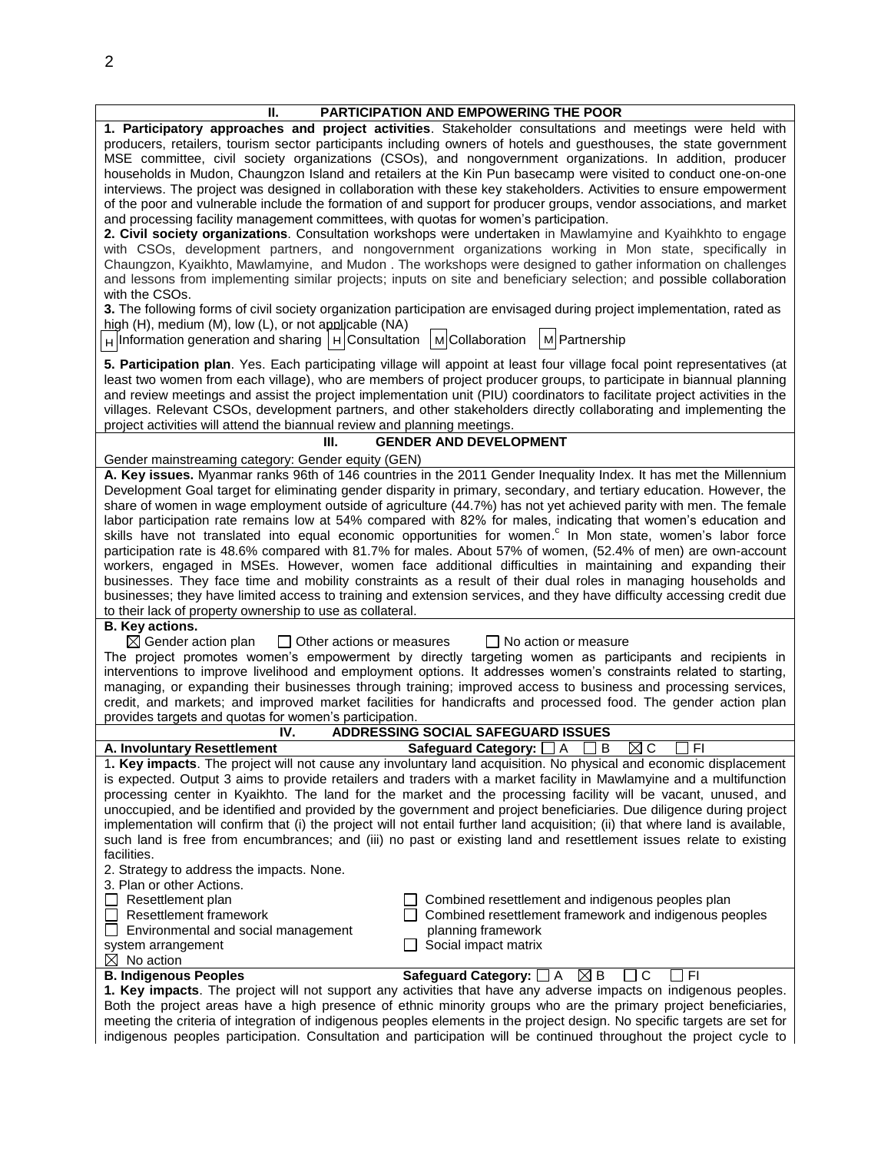| Ш.                                                                                                                                                                                                                                            | PARTICIPATION AND EMPOWERING THE POOR                                                                                                                                                                                                       |  |  |  |  |  |
|-----------------------------------------------------------------------------------------------------------------------------------------------------------------------------------------------------------------------------------------------|---------------------------------------------------------------------------------------------------------------------------------------------------------------------------------------------------------------------------------------------|--|--|--|--|--|
| 1. Participatory approaches and project activities. Stakeholder consultations and meetings were held with                                                                                                                                     |                                                                                                                                                                                                                                             |  |  |  |  |  |
|                                                                                                                                                                                                                                               | producers, retailers, tourism sector participants including owners of hotels and guesthouses, the state government                                                                                                                          |  |  |  |  |  |
|                                                                                                                                                                                                                                               | MSE committee, civil society organizations (CSOs), and nongovernment organizations. In addition, producer                                                                                                                                   |  |  |  |  |  |
|                                                                                                                                                                                                                                               | households in Mudon, Chaungzon Island and retailers at the Kin Pun basecamp were visited to conduct one-on-one                                                                                                                              |  |  |  |  |  |
|                                                                                                                                                                                                                                               | interviews. The project was designed in collaboration with these key stakeholders. Activities to ensure empowerment<br>of the poor and vulnerable include the formation of and support for producer groups, vendor associations, and market |  |  |  |  |  |
| and processing facility management committees, with quotas for women's participation.                                                                                                                                                         |                                                                                                                                                                                                                                             |  |  |  |  |  |
|                                                                                                                                                                                                                                               | 2. Civil society organizations. Consultation workshops were undertaken in Mawlamyine and Kyaihkhto to engage                                                                                                                                |  |  |  |  |  |
|                                                                                                                                                                                                                                               | with CSOs, development partners, and nongovernment organizations working in Mon state, specifically in                                                                                                                                      |  |  |  |  |  |
| Chaungzon, Kyaikhto, Mawlamyine, and Mudon. The workshops were designed to gather information on challenges                                                                                                                                   |                                                                                                                                                                                                                                             |  |  |  |  |  |
| and lessons from implementing similar projects; inputs on site and beneficiary selection; and possible collaboration                                                                                                                          |                                                                                                                                                                                                                                             |  |  |  |  |  |
| with the CSOs.                                                                                                                                                                                                                                |                                                                                                                                                                                                                                             |  |  |  |  |  |
|                                                                                                                                                                                                                                               | 3. The following forms of civil society organization participation are envisaged during project implementation, rated as                                                                                                                    |  |  |  |  |  |
| high $(H)$ , medium $(M)$ , low $(L)$ , or not applicable $(NA)$                                                                                                                                                                              |                                                                                                                                                                                                                                             |  |  |  |  |  |
| $H$ Information generation and sharing $H$ Consultation                                                                                                                                                                                       | M Partnership<br>MCollaboration                                                                                                                                                                                                             |  |  |  |  |  |
|                                                                                                                                                                                                                                               | 5. Participation plan. Yes. Each participating village will appoint at least four village focal point representatives (at                                                                                                                   |  |  |  |  |  |
| least two women from each village), who are members of project producer groups, to participate in biannual planning                                                                                                                           |                                                                                                                                                                                                                                             |  |  |  |  |  |
|                                                                                                                                                                                                                                               | and review meetings and assist the project implementation unit (PIU) coordinators to facilitate project activities in the                                                                                                                   |  |  |  |  |  |
|                                                                                                                                                                                                                                               | villages. Relevant CSOs, development partners, and other stakeholders directly collaborating and implementing the                                                                                                                           |  |  |  |  |  |
| project activities will attend the biannual review and planning meetings.                                                                                                                                                                     |                                                                                                                                                                                                                                             |  |  |  |  |  |
| Ш.                                                                                                                                                                                                                                            | <b>GENDER AND DEVELOPMENT</b>                                                                                                                                                                                                               |  |  |  |  |  |
| Gender mainstreaming category: Gender equity (GEN)                                                                                                                                                                                            |                                                                                                                                                                                                                                             |  |  |  |  |  |
|                                                                                                                                                                                                                                               | A. Key issues. Myanmar ranks 96th of 146 countries in the 2011 Gender Inequality Index. It has met the Millennium                                                                                                                           |  |  |  |  |  |
|                                                                                                                                                                                                                                               | Development Goal target for eliminating gender disparity in primary, secondary, and tertiary education. However, the                                                                                                                        |  |  |  |  |  |
|                                                                                                                                                                                                                                               | share of women in wage employment outside of agriculture (44.7%) has not yet achieved parity with men. The female                                                                                                                           |  |  |  |  |  |
|                                                                                                                                                                                                                                               | labor participation rate remains low at 54% compared with 82% for males, indicating that women's education and<br>skills have not translated into equal economic opportunities for women. <sup>c</sup> In Mon state, women's labor force    |  |  |  |  |  |
|                                                                                                                                                                                                                                               | participation rate is 48.6% compared with 81.7% for males. About 57% of women, (52.4% of men) are own-account                                                                                                                               |  |  |  |  |  |
|                                                                                                                                                                                                                                               | workers, engaged in MSEs. However, women face additional difficulties in maintaining and expanding their                                                                                                                                    |  |  |  |  |  |
|                                                                                                                                                                                                                                               | businesses. They face time and mobility constraints as a result of their dual roles in managing households and                                                                                                                              |  |  |  |  |  |
|                                                                                                                                                                                                                                               | businesses; they have limited access to training and extension services, and they have difficulty accessing credit due                                                                                                                      |  |  |  |  |  |
| to their lack of property ownership to use as collateral.                                                                                                                                                                                     |                                                                                                                                                                                                                                             |  |  |  |  |  |
| <b>B.</b> Key actions.                                                                                                                                                                                                                        |                                                                                                                                                                                                                                             |  |  |  |  |  |
| $\boxtimes$ Gender action plan<br>$\Box$ Other actions or measures                                                                                                                                                                            | $\Box$ No action or measure                                                                                                                                                                                                                 |  |  |  |  |  |
|                                                                                                                                                                                                                                               | The project promotes women's empowerment by directly targeting women as participants and recipients in                                                                                                                                      |  |  |  |  |  |
|                                                                                                                                                                                                                                               | interventions to improve livelihood and employment options. It addresses women's constraints related to starting,                                                                                                                           |  |  |  |  |  |
| managing, or expanding their businesses through training; improved access to business and processing services,                                                                                                                                |                                                                                                                                                                                                                                             |  |  |  |  |  |
| credit, and markets; and improved market facilities for handicrafts and processed food. The gender action plan<br>provides targets and quotas for women's participation.                                                                      |                                                                                                                                                                                                                                             |  |  |  |  |  |
| <b>ADDRESSING SOCIAL SAFEGUARD ISSUES</b><br>IV.                                                                                                                                                                                              |                                                                                                                                                                                                                                             |  |  |  |  |  |
| A. Involuntary Resettlement                                                                                                                                                                                                                   | ⊠c<br>Safeguard Category:<br>A<br>B<br>FI                                                                                                                                                                                                   |  |  |  |  |  |
|                                                                                                                                                                                                                                               | 1. Key impacts. The project will not cause any involuntary land acquisition. No physical and economic displacement                                                                                                                          |  |  |  |  |  |
|                                                                                                                                                                                                                                               | is expected. Output 3 aims to provide retailers and traders with a market facility in Mawlamyine and a multifunction                                                                                                                        |  |  |  |  |  |
|                                                                                                                                                                                                                                               | processing center in Kyaikhto. The land for the market and the processing facility will be vacant, unused, and                                                                                                                              |  |  |  |  |  |
|                                                                                                                                                                                                                                               | unoccupied, and be identified and provided by the government and project beneficiaries. Due diligence during project                                                                                                                        |  |  |  |  |  |
|                                                                                                                                                                                                                                               | implementation will confirm that (i) the project will not entail further land acquisition; (ii) that where land is available,                                                                                                               |  |  |  |  |  |
|                                                                                                                                                                                                                                               | such land is free from encumbrances; and (iii) no past or existing land and resettlement issues relate to existing                                                                                                                          |  |  |  |  |  |
| facilities.<br>2. Strategy to address the impacts. None.                                                                                                                                                                                      |                                                                                                                                                                                                                                             |  |  |  |  |  |
| 3. Plan or other Actions.                                                                                                                                                                                                                     |                                                                                                                                                                                                                                             |  |  |  |  |  |
| Resettlement plan                                                                                                                                                                                                                             | Combined resettlement and indigenous peoples plan                                                                                                                                                                                           |  |  |  |  |  |
| Resettlement framework                                                                                                                                                                                                                        | Combined resettlement framework and indigenous peoples                                                                                                                                                                                      |  |  |  |  |  |
| Environmental and social management                                                                                                                                                                                                           | planning framework                                                                                                                                                                                                                          |  |  |  |  |  |
| system arrangement                                                                                                                                                                                                                            | Social impact matrix                                                                                                                                                                                                                        |  |  |  |  |  |
| $\boxtimes$ No action                                                                                                                                                                                                                         |                                                                                                                                                                                                                                             |  |  |  |  |  |
| <b>B. Indigenous Peoples</b>                                                                                                                                                                                                                  | Safeguard Category: $\Box$ A $\boxtimes$ B<br>⅂ℭ<br>I FI                                                                                                                                                                                    |  |  |  |  |  |
|                                                                                                                                                                                                                                               | 1. Key impacts. The project will not support any activities that have any adverse impacts on indigenous peoples.                                                                                                                            |  |  |  |  |  |
| Both the project areas have a high presence of ethnic minority groups who are the primary project beneficiaries,<br>meeting the criteria of integration of indigenous peoples elements in the project design. No specific targets are set for |                                                                                                                                                                                                                                             |  |  |  |  |  |

indigenous peoples participation. Consultation and participation will be continued throughout the project cycle to

2